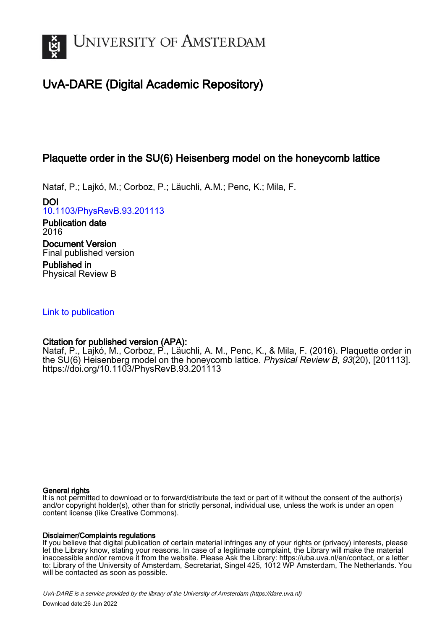

# UvA-DARE (Digital Academic Repository)

# Plaquette order in the SU(6) Heisenberg model on the honeycomb lattice

Nataf, P.; Lajkó, M.; Corboz, P.; Läuchli, A.M.; Penc, K.; Mila, F.

DOI [10.1103/PhysRevB.93.201113](https://doi.org/10.1103/PhysRevB.93.201113)

Publication date 2016 Document Version Final published version Published in

Physical Review B

# [Link to publication](https://dare.uva.nl/personal/pure/en/publications/plaquette-order-in-the-su6-heisenberg-model-on-the-honeycomb-lattice(cd694c5e-7551-455b-8f6d-e0655c1d7289).html)

# Citation for published version (APA):

Nataf, P., Lajkó, M., Corboz, P., Läuchli, A. M., Penc, K., & Mila, F. (2016). Plaquette order in the SU(6) Heisenberg model on the honeycomb lattice. Physical Review B, 93(20), [201113]. <https://doi.org/10.1103/PhysRevB.93.201113>

### General rights

It is not permitted to download or to forward/distribute the text or part of it without the consent of the author(s) and/or copyright holder(s), other than for strictly personal, individual use, unless the work is under an open content license (like Creative Commons).

## Disclaimer/Complaints regulations

If you believe that digital publication of certain material infringes any of your rights or (privacy) interests, please let the Library know, stating your reasons. In case of a legitimate complaint, the Library will make the material inaccessible and/or remove it from the website. Please Ask the Library: https://uba.uva.nl/en/contact, or a letter to: Library of the University of Amsterdam, Secretariat, Singel 425, 1012 WP Amsterdam, The Netherlands. You will be contacted as soon as possible.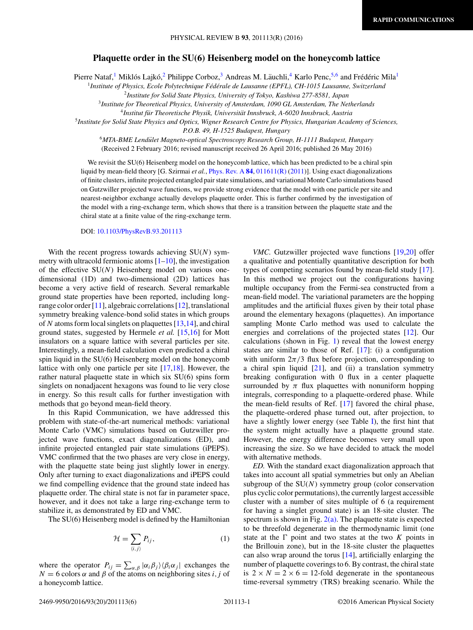### **Plaquette order in the SU(6) Heisenberg model on the honeycomb lattice**

<span id="page-1-0"></span>Pierre Nataf,<sup>1</sup> Miklós Lajkó,<sup>2</sup> Philippe Corboz,<sup>3</sup> Andreas M. Läuchli,<sup>4</sup> Karlo Penc,<sup>5,6</sup> and Frédéric Mila<sup>1</sup>

<sup>1</sup>*Institute of Physics, Ecole Polytechnique Fed´ erale de Lausanne (EPFL), CH-1015 Lausanne, Switzerland ´*

<sup>2</sup>*Institute for Solid State Physics, University of Tokyo, Kashiwa 277-8581, Japan*

<sup>3</sup>*Institute for Theoretical Physics, University of Amsterdam, 1090 GL Amsterdam, The Netherlands*

<sup>4</sup>*Institut fur Theoretische Physik, Universit ¨ at Innsbruck, A-6020 Innsbruck, Austria ¨*

<sup>5</sup>*Institute for Solid State Physics and Optics, Wigner Research Centre for Physics, Hungarian Academy of Sciences,*

*P.O.B. 49, H-1525 Budapest, Hungary*

<sup>6</sup>*MTA-BME Lendulet Magneto-optical Spectroscopy Research Group, H-1111 Budapest, Hungary ¨*

(Received 2 February 2016; revised manuscript received 26 April 2016; published 26 May 2016)

We revisit the SU(6) Heisenberg model on the honeycomb lattice, which has been predicted to be a chiral spin liquid by mean-field theory [G. Szirmai *et al.*, [Phys. Rev. A](http://dx.doi.org/10.1103/PhysRevA.84.011611) **[84](http://dx.doi.org/10.1103/PhysRevA.84.011611)**, [011611\(R\)](http://dx.doi.org/10.1103/PhysRevA.84.011611) [\(2011\)](http://dx.doi.org/10.1103/PhysRevA.84.011611)]. Using exact diagonalizations of finite clusters, infinite projected entangled pair state simulations, and variational Monte Carlo simulations based on Gutzwiller projected wave functions, we provide strong evidence that the model with one particle per site and nearest-neighbor exchange actually develops plaquette order. This is further confirmed by the investigation of the model with a ring-exchange term, which shows that there is a transition between the plaquette state and the chiral state at a finite value of the ring-exchange term.

#### DOI: [10.1103/PhysRevB.93.201113](http://dx.doi.org/10.1103/PhysRevB.93.201113)

With the recent progress towards achieving SU(*N*) symmetry with ultracold fermionic atoms  $[1–10]$ , the investigation of the effective SU(*N*) Heisenberg model on various onedimensional (1D) and two-dimensional (2D) lattices has become a very active field of research. Several remarkable ground state properties have been reported, including longrange color order [\[11\]](#page-5-0), algebraic correlations [\[12\]](#page-5-0), translational symmetry breaking valence-bond solid states in which groups of *N* atoms form local singlets on plaquettes [\[13,14\]](#page-5-0), and chiral ground states, suggested by Hermele *et al.* [\[15,16\]](#page-5-0) for Mott insulators on a square lattice with several particles per site. Interestingly, a mean-field calculation even predicted a chiral spin liquid in the SU(6) Heisenberg model on the honeycomb lattice with only one particle per site [\[17,18\]](#page-5-0). However, the rather natural plaquette state in which six SU(6) spins form singlets on nonadjacent hexagons was found to lie very close in energy. So this result calls for further investigation with methods that go beyond mean-field theory.

In this Rapid Communication, we have addressed this problem with state-of-the-art numerical methods: variational Monte Carlo (VMC) simulations based on Gutzwiller projected wave functions, exact diagonalizations (ED), and infinite projected entangled pair state simulations (iPEPS). VMC confirmed that the two phases are very close in energy, with the plaquette state being just slightly lower in energy. Only after turning to exact diagonalizations and iPEPS could we find compelling evidence that the ground state indeed has plaquette order. The chiral state is not far in parameter space, however, and it does not take a large ring-exchange term to stabilize it, as demonstrated by ED and VMC.

The SU(6) Heisenberg model is defined by the Hamiltonian

$$
\mathcal{H} = \sum_{\langle i,j \rangle} P_{ij},\tag{1}
$$

where the operator  $P_{ij} = \sum_{\alpha,\beta} |\alpha_i \beta_j\rangle \langle \beta_i \alpha_j|$  exchanges the  $N = 6$  colors  $\alpha$  and  $\beta$  of the atoms on neighboring sites *i*, *j* of a honeycomb lattice.

*VMC.* Gutzwiller projected wave functions [\[19,20\]](#page-5-0) offer a qualitative and potentially quantitative description for both types of competing scenarios found by mean-field study [\[17\]](#page-5-0). In this method we project out the configurations having multiple occupancy from the Fermi-sea constructed from a mean-field model. The variational parameters are the hopping amplitudes and the artificial fluxes given by their total phase around the elementary hexagons (plaquettes). An importance sampling Monte Carlo method was used to calculate the energies and correlations of the projected states [\[12\]](#page-5-0). Our calculations (shown in Fig. [1\)](#page-2-0) reveal that the lowest energy states are similar to those of Ref. [\[17\]](#page-5-0): (i) a configuration with uniform  $2\pi/3$  flux before projection, corresponding to a chiral spin liquid  $[21]$ , and  $(ii)$  a translation symmetry breaking configuration with 0 flux in a center plaquette surrounded by  $\pi$  flux plaquettes with nonuniform hopping integrals, corresponding to a plaquette-ordered phase. While the mean-field results of Ref. [\[17\]](#page-5-0) favored the chiral phase, the plaquette-ordered phase turned out, after projection, to have a slightly lower energy (see Table [I\)](#page-2-0), the first hint that the system might actually have a plaquette ground state. However, the energy difference becomes very small upon increasing the size. So we have decided to attack the model with alternative methods.

*ED.* With the standard exact diagonalization approach that takes into account all spatial symmetries but only an Abelian subgroup of the  $SU(N)$  symmetry group (color conservation plus cyclic color permutations), the currently largest accessible cluster with a number of sites multiple of 6 (a requirement for having a singlet ground state) is an 18-site cluster. The spectrum is shown in Fig.  $2(a)$ . The plaquette state is expected to be threefold degenerate in the thermodynamic limit (one state at the  $\Gamma$  point and two states at the two  $K$  points in the Brillouin zone), but in the 18-site cluster the plaquettes can also wrap around the torus [\[14\]](#page-5-0), artificially enlarging the number of plaquette coverings to 6. By contrast, the chiral state is  $2 \times N = 2 \times 6 = 12$ -fold degenerate in the spontaneous time-reversal symmetry (TRS) breaking scenario. While the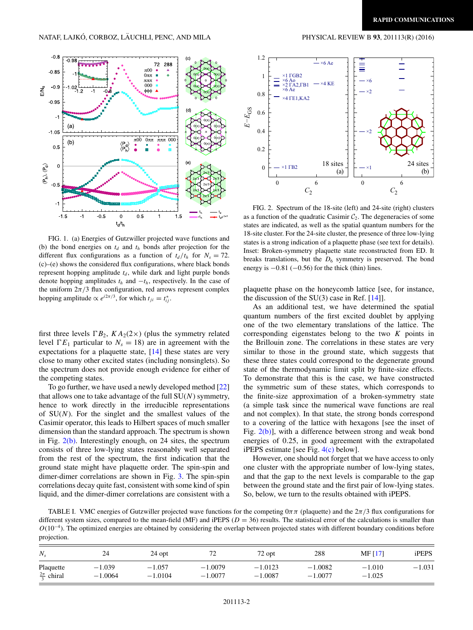<span id="page-2-0"></span>

FIG. 1. (a) Energies of Gutzwiller projected wave functions and (b) the bond energies on  $t_d$  and  $t_h$  bonds after projection for the different flux configurations as a function of  $t_d/t_h$  for  $N_s = 72$ . (c)–(e) shows the considered flux configurations, where black bonds represent hopping amplitude  $t_d$ , while dark and light purple bonds denote hopping amplitudes *th* and −*th*, respectively. In the case of the uniform  $2\pi/3$  flux configuration, red arrows represent complex hopping amplitude  $\propto e^{i2\pi/3}$ , for which  $t_{ji} = t_{ij}^*$ .

first three levels  $\Gamma B_2$ ,  $KA_2(2\times)$  (plus the symmetry related level  $\Gamma E_1$  particular to  $N_s = 18$ ) are in agreement with the expectations for a plaquette state, [\[14\]](#page-5-0) these states are very close to many other excited states (including nonsinglets). So the spectrum does not provide enough evidence for either of the competing states.

To go further, we have used a newly developed method [\[22\]](#page-5-0) that allows one to take advantage of the full SU(*N*) symmetry, hence to work directly in the irreducible representations of  $SU(N)$ . For the singlet and the smallest values of the Casimir operator, this leads to Hilbert spaces of much smaller dimension than the standard approach. The spectrum is shown in Fig. 2(b). Interestingly enough, on 24 sites, the spectrum consists of three low-lying states reasonably well separated from the rest of the spectrum, the first indication that the ground state might have plaquette order. The spin-spin and dimer-dimer correlations are shown in Fig. [3.](#page-3-0) The spin-spin correlations decay quite fast, consistent with some kind of spin liquid, and the dimer-dimer correlations are consistent with a



FIG. 2. Spectrum of the 18-site (left) and 24-site (right) clusters as a function of the quadratic Casimir  $C_2$ . The degeneracies of some states are indicated, as well as the spatial quantum numbers for the 18-site cluster. For the 24-site cluster, the presence of three low-lying states is a strong indication of a plaquette phase (see text for details). Inset: Broken-symmetry plaquette state reconstructed from ED. It breaks translations, but the  $D_6$  symmetry is preserved. The bond energy is  $-0.81$  ( $-0.56$ ) for the thick (thin) lines.

plaquette phase on the honeycomb lattice [see, for instance, the discussion of the SU(3) case in Ref. [\[14\]](#page-5-0)].

As an additional test, we have determined the spatial quantum numbers of the first excited doublet by applying one of the two elementary translations of the lattice. The corresponding eigenstates belong to the two *K* points in the Brillouin zone. The correlations in these states are very similar to those in the ground state, which suggests that these three states could correspond to the degenerate ground state of the thermodynamic limit split by finite-size effects. To demonstrate that this is the case, we have constructed the symmetric sum of these states, which corresponds to the finite-size approximation of a broken-symmetry state (a simple task since the numerical wave functions are real and not complex). In that state, the strong bonds correspond to a covering of the lattice with hexagons [see the inset of Fig. 2(b)], with a difference between strong and weak bond energies of 0*.*25, in good agreement with the extrapolated iPEPS estimate [see Fig. [4\(c\)](#page-3-0) below].

However, one should not forget that we have access to only one cluster with the appropriate number of low-lying states, and that the gap to the next levels is comparable to the gap between the ground state and the first pair of low-lying states. So, below, we turn to the results obtained with iPEPS.

TABLE I. VMC energies of Gutzwiller projected wave functions for the competing 0*ππ* (plaquette) and the 2*π/*3 flux configurations for different system sizes, compared to the mean-field (MF) and iPEPS ( $D = 36$ ) results. The statistical error of the calculations is smaller than *O*(10<sup>−4</sup>). The optimized energies are obtained by considering the overlap between projected states with different boundary conditions before projection.

| $N_{\rm s}$             | 24        | 24 opt    | $\overline{\phantom{a}}$<br>້ | 72 opt    | 288       | MF [17]  | iPEPS    |
|-------------------------|-----------|-----------|-------------------------------|-----------|-----------|----------|----------|
| Plaquette               | $-1.039$  | $-1.057$  | $-1.0079$                     | $-1.0123$ | $-1.0082$ | $-1.010$ | $-1.031$ |
| $\frac{2\pi}{3}$ chiral | $-1.0064$ | $-1.0104$ | $-1.0077$                     | $-1.0087$ | $-1.0077$ | $-1.025$ |          |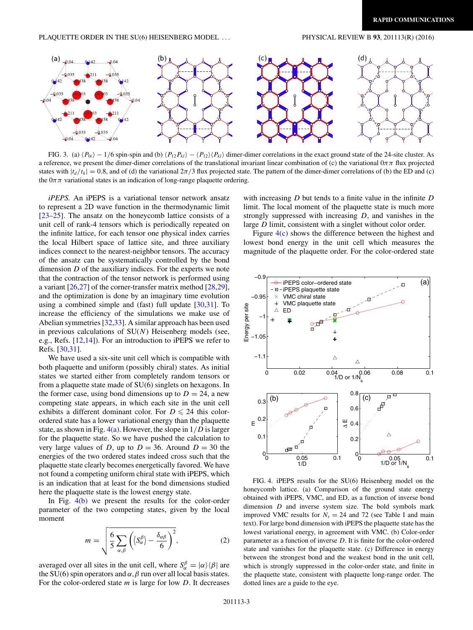#### <span id="page-3-0"></span>PLAQUETTE ORDER IN THE SU(6) HEISENBERG MODEL . . . PHYSICAL REVIEW B **93**, 201113(R) (2016)



FIG. 3. (a)  $\langle P_{0i} \rangle - 1/6$  spin-spin and (b)  $\langle P_{12}P_{kl} \rangle - \langle P_{12} \rangle \langle P_{kl} \rangle$  dimer-dimer correlations in the exact ground state of the 24-site cluster. As a reference, we present the dimer-dimer correlations of the translational invariant linear combination of (c) the variational  $0\pi\pi$  flux projected states with  $|t_d/t_h| = 0.8$ , and of (d) the variational  $2\pi/3$  flux projected state. The pattern of the dimer-dimer correlations of (b) the ED and (c) the  $0\pi\pi$  variational states is an indication of long-range plaquette ordering.

*iPEPS.* An iPEPS is a variational tensor network ansatz to represent a 2D wave function in the thermodynamic limit [\[23–25\]](#page-5-0). The ansatz on the honeycomb lattice consists of a unit cell of rank-4 tensors which is periodically repeated on the infinite lattice, for each tensor one physical index carries the local Hilbert space of lattice site, and three auxiliary indices connect to the nearest-neighbor tensors. The accuracy of the ansatz can be systematically controlled by the bond dimension *D* of the auxiliary indices. For the experts we note that the contraction of the tensor network is performed using a variant  $[26,27]$  of the corner-transfer matrix method  $[28,29]$ , and the optimization is done by an imaginary time evolution using a combined simple and (fast) full update [\[30,31\]](#page-5-0). To increase the efficiency of the simulations we make use of Abelian symmetries [\[32,33\]](#page-5-0). A similar approach has been used in previous calculations of SU(*N*) Heisenberg models (see, e.g., Refs. [\[12,14\]](#page-5-0)). For an introduction to iPEPS we refer to Refs. [\[30,31\]](#page-5-0).

We have used a six-site unit cell which is compatible with both plaquette and uniform (possibly chiral) states. As initial states we started either from completely random tensors or from a plaquette state made of SU(6) singlets on hexagons. In the former case, using bond dimensions up to  $D = 24$ , a new competing state appears, in which each site in the unit cell exhibits a different dominant color. For  $D \le 24$  this colorordered state has a lower variational energy than the plaquette state, as shown in Fig. 4(a). However, the slope in 1*/D* is larger for the plaquette state. So we have pushed the calculation to very large values of *D*, up to  $D = 36$ . Around  $D = 30$  the energies of the two ordered states indeed cross such that the plaquette state clearly becomes energetically favored. We have not found a competing uniform chiral state with iPEPS, which is an indication that at least for the bond dimensions studied here the plaquette state is the lowest energy state.

In Fig. 4(b) we present the results for the color-order parameter of the two competing states, given by the local moment

$$
m = \sqrt{\frac{6}{5} \sum_{\alpha,\beta} \left( \langle S_{\alpha}^{\beta} \rangle - \frac{\delta_{\alpha\beta}}{6} \right)^2},
$$
 (2)

averaged over all sites in the unit cell, where  $S_\alpha^\beta = |\alpha\rangle\langle\beta|$  are the SU(6) spin operators and  $\alpha$ ,  $\beta$  run over all local basis states. For the color-ordered state *m* is large for low *D*. It decreases with increasing *D* but tends to a finite value in the infinite *D* limit. The local moment of the plaquette state is much more strongly suppressed with increasing *D*, and vanishes in the large *D* limit, consistent with a singlet without color order.

Figure 4(c) shows the difference between the highest and lowest bond energy in the unit cell which measures the magnitude of the plaquette order. For the color-ordered state



FIG. 4. iPEPS results for the SU(6) Heisenberg model on the honeycomb lattice. (a) Comparison of the ground state energy obtained with iPEPS, VMC, and ED, as a function of inverse bond dimension *D* and inverse system size. The bold symbols mark improved VMC results for  $N_s = 24$  and 72 (see Table [I](#page-2-0) and main text). For large bond dimension with iPEPS the plaquette state has the lowest variational energy, in agreement with VMC. (b) Color-order parameter as a function of inverse *D*. It is finite for the color-ordered state and vanishes for the plaquette state. (c) Difference in energy between the strongest bond and the weakest bond in the unit cell, which is strongly suppressed in the color-order state, and finite in the plaquette state, consistent with plaquette long-range order. The dotted lines are a guide to the eye.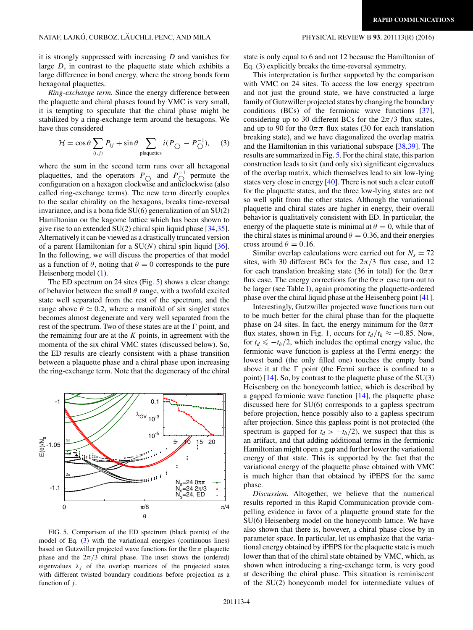it is strongly suppressed with increasing *D* and vanishes for large *D*, in contrast to the plaquette state which exhibits a large difference in bond energy, where the strong bonds form hexagonal plaquettes.

*Ring-exchange term.* Since the energy difference between the plaquette and chiral phases found by VMC is very small, it is tempting to speculate that the chiral phase might be stabilized by a ring-exchange term around the hexagons. We have thus considered

$$
\mathcal{H} = \cos \theta \sum_{\langle i,j \rangle} P_{ij} + \sin \theta \sum_{\text{plaquettes}} i(P_{\bigcirc} - P_{\bigcirc}^{-1}), \quad (3)
$$

where the sum in the second term runs over all hexagonal plaquettes, and the operators  $P_{\bigcirc}$  and  $P_{\bigcirc}^{-1}$  permute the configuration on a hexagon clockwise and anticlockwise (also called ring-exchange terms). The new term directly couples to the scalar chirality on the hexagons, breaks time-reversal invariance, and is a bona fide SU(6) generalization of an SU(2) Hamiltonian on the kagome lattice which has been shown to give rise to an extended SU(2) chiral spin liquid phase [\[34,35\]](#page-5-0). Alternatively it can be viewed as a drastically truncated version of a parent Hamiltonian for a SU(*N*) chiral spin liquid [\[36\]](#page-5-0). In the following, we will discuss the properties of that model as a function of  $\theta$ , noting that  $\theta = 0$  corresponds to the pure Heisenberg model [\(1\)](#page-1-0).

The ED spectrum on 24 sites (Fig. 5) shows a clear change of behavior between the small  $\theta$  range, with a twofold excited state well separated from the rest of the spectrum, and the range above  $\theta \simeq 0.2$ , where a manifold of six singlet states becomes almost degenerate and very well separated from the rest of the spectrum. Two of these states are at the  $\Gamma$  point, and the remaining four are at the *K* points, in agreement with the momenta of the six chiral VMC states (discussed below). So, the ED results are clearly consistent with a phase transition between a plaquette phase and a chiral phase upon increasing the ring-exchange term. Note that the degeneracy of the chiral



FIG. 5. Comparison of the ED spectrum (black points) of the model of Eq. (3) with the variational energies (continuous lines) based on Gutzwiller projected wave functions for the  $0\pi\pi$  plaquette phase and the  $2\pi/3$  chiral phase. The inset shows the (ordered) eigenvalues  $\lambda_j$  of the overlap matrices of the projected states with different twisted boundary conditions before projection as a function of *j* .

state is only equal to 6 and not 12 because the Hamiltonian of Eq. (3) explicitly breaks the time-reversal symmetry.

This interpretation is further supported by the comparison with VMC on 24 sites. To access the low energy spectrum and not just the ground state, we have constructed a large family of Gutzwiller projected states by changing the boundary conditions (BCs) of the fermionic wave functions [\[37\]](#page-5-0), considering up to 30 different BCs for the  $2\pi/3$  flux states, and up to 90 for the  $0\pi\pi$  flux states (30 for each translation breaking state), and we have diagonalized the overlap matrix and the Hamiltonian in this variational subspace [\[38,39\]](#page-5-0). The results are summarized in Fig. 5. For the chiral state, this parton construction leads to six (and only six) significant eigenvalues of the overlap matrix, which themselves lead to six low-lying states very close in energy [\[40\]](#page-5-0). There is not such a clear cutoff for the plaquette states, and the three low-lying states are not so well split from the other states. Although the variational plaquette and chiral states are higher in energy, their overall behavior is qualitatively consistent with ED. In particular, the energy of the plaquette state is minimal at  $\theta = 0$ , while that of the chiral states is minimal around  $\theta = 0.36$ , and their energies cross around  $\theta = 0.16$ .

Similar overlap calculations were carried out for  $N_s = 72$ sites, with 30 different BCs for the  $2\pi/3$  flux case, and 12 for each translation breaking state (36 in total) for the  $0\pi\pi$ flux case. The energy corrections for the 0*ππ* case turn out to be larger (see Table [I\)](#page-2-0), again promoting the plaquette-ordered phase over the chiral liquid phase at the Heisenberg point [\[41\]](#page-5-0).

Interestingly, Gutzwiller projected wave functions turn out to be much better for the chiral phase than for the plaquette phase on 24 sites. In fact, the energy minimum for the 0*ππ* flux states, shown in Fig. [1,](#page-2-0) occurs for  $t_d/t_h \approx -0.85$ . Now, for  $t_d \le -t_h/2$ , which includes the optimal energy value, the fermionic wave function is gapless at the Fermi energy: the lowest band (the only filled one) touches the empty band above it at the  $\Gamma$  point (the Fermi surface is confined to a point) [\[14\]](#page-5-0). So, by contrast to the plaquette phase of the SU(3) Heisenberg on the honeycomb lattice, which is described by a gapped fermionic wave function  $[14]$ , the plaquette phase discussed here for SU(6) corresponds to a gapless spectrum before projection, hence possibly also to a gapless spectrum after projection. Since this gapless point is not protected (the spectrum is gapped for  $t_d > -t_h/2$ , we suspect that this is an artifact, and that adding additional terms in the fermionic Hamiltonian might open a gap and further lower the variational energy of that state. This is supported by the fact that the variational energy of the plaquette phase obtained with VMC is much higher than that obtained by iPEPS for the same phase.

*Discussion.* Altogether, we believe that the numerical results reported in this Rapid Communication provide compelling evidence in favor of a plaquette ground state for the SU(6) Heisenberg model on the honeycomb lattice. We have also shown that there is, however, a chiral phase close by in parameter space. In particular, let us emphasize that the variational energy obtained by iPEPS for the plaquette state is much lower than that of the chiral state obtained by VMC, which, as shown when introducing a ring-exchange term, is very good at describing the chiral phase. This situation is reminiscent of the SU(2) honeycomb model for intermediate values of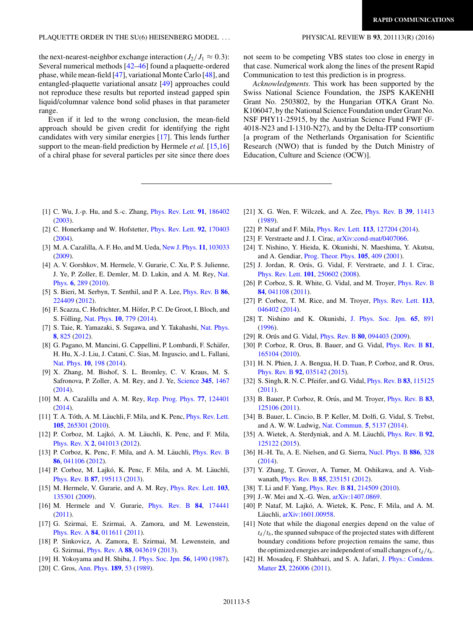#### <span id="page-5-0"></span>PLAQUETTE ORDER IN THE SU(6) HEISENBERG MODEL . . . PHYSICAL REVIEW B **93**, 201113(R) (2016)

the next-nearest-neighbor exchange interaction  $(J_2/J_1 \approx 0.3)$ : Several numerical methods [42[–46\]](#page-6-0) found a plaquette-ordered phase, while mean-field [\[47\]](#page-6-0), variational Monte Carlo [\[48\]](#page-6-0), and entangled-plaquette variational ansatz [\[49\]](#page-6-0) approaches could not reproduce these results but reported instead gapped spin liquid/columnar valence bond solid phases in that parameter range.

Even if it led to the wrong conclusion, the mean-field approach should be given credit for identifying the right candidates with very similar energies [17]. This lends further support to the mean-field prediction by Hermele *et al.* [15,16] of a chiral phase for several particles per site since there does

not seem to be competing VBS states too close in energy in that case. Numerical work along the lines of the present Rapid Communication to test this prediction is in progress.

*Acknowledgments.* This work has been supported by the Swiss National Science Foundation, the JSPS KAKENHI Grant No. 2503802, by the Hungarian OTKA Grant No. K106047, by the National Science Foundation under Grant No. NSF PHY11-25915, by the Austrian Science Fund FWF (F-4018-N23 and I-1310-N27), and by the Delta-ITP consortium [a program of the Netherlands Organisation for Scientific Research (NWO) that is funded by the Dutch Ministry of Education, Culture and Science (OCW)].

- [1] C. Wu, J.-p. Hu, and S.-c. Zhang, [Phys. Rev. Lett.](http://dx.doi.org/10.1103/PhysRevLett.91.186402) **[91](http://dx.doi.org/10.1103/PhysRevLett.91.186402)**, [186402](http://dx.doi.org/10.1103/PhysRevLett.91.186402) [\(2003\)](http://dx.doi.org/10.1103/PhysRevLett.91.186402).
- [2] C. Honerkamp and W. Hofstetter, [Phys. Rev. Lett.](http://dx.doi.org/10.1103/PhysRevLett.92.170403) **[92](http://dx.doi.org/10.1103/PhysRevLett.92.170403)**, [170403](http://dx.doi.org/10.1103/PhysRevLett.92.170403) [\(2004\)](http://dx.doi.org/10.1103/PhysRevLett.92.170403).
- [3] M. A. Cazalilla, A. F. Ho, and M. Ueda, [New J. Phys.](http://dx.doi.org/10.1088/1367-2630/11/10/103033) **[11](http://dx.doi.org/10.1088/1367-2630/11/10/103033)**, [103033](http://dx.doi.org/10.1088/1367-2630/11/10/103033) [\(2009\)](http://dx.doi.org/10.1088/1367-2630/11/10/103033).
- [4] A. V. Gorshkov, M. Hermele, V. Gurarie, C. Xu, P. S. Julienne, [J. Ye, P. Zoller, E. Demler, M. D. Lukin, and A. M. Rey,](http://dx.doi.org/10.1038/nphys1535) Nat. Phys. **[6](http://dx.doi.org/10.1038/nphys1535)**, [289](http://dx.doi.org/10.1038/nphys1535) [\(2010\)](http://dx.doi.org/10.1038/nphys1535).
- [5] S. Bieri, M. Serbyn, T. Senthil, and P. A. Lee, [Phys. Rev. B](http://dx.doi.org/10.1103/PhysRevB.86.224409) **[86](http://dx.doi.org/10.1103/PhysRevB.86.224409)**, [224409](http://dx.doi.org/10.1103/PhysRevB.86.224409) [\(2012\)](http://dx.doi.org/10.1103/PhysRevB.86.224409).
- [6] F. Scazza, C. Hofrichter, M. Höfer, P. C. De Groot, I. Bloch, and S. Fölling, [Nat. Phys.](http://dx.doi.org/10.1038/nphys3061) **[10](http://dx.doi.org/10.1038/nphys3061)**, [779](http://dx.doi.org/10.1038/nphys3061) [\(2014\)](http://dx.doi.org/10.1038/nphys3061).
- [7] S. Taie, R. Yamazaki, S. Sugawa, and Y. Takahashi, [Nat. Phys.](http://dx.doi.org/10.1038/nphys2430) **[8](http://dx.doi.org/10.1038/nphys2430)**, [825](http://dx.doi.org/10.1038/nphys2430) [\(2012\)](http://dx.doi.org/10.1038/nphys2430).
- [8] G. Pagano, M. Mancini, G. Cappellini, P. Lombardi, F. Schäfer, H. Hu, X.-J. Liu, J. Catani, C. Sias, M. Inguscio, and L. Fallani, [Nat. Phys.](http://dx.doi.org/10.1038/nphys2878) **[10](http://dx.doi.org/10.1038/nphys2878)**, [198](http://dx.doi.org/10.1038/nphys2878) [\(2014\)](http://dx.doi.org/10.1038/nphys2878).
- [9] X. Zhang, M. Bishof, S. L. Bromley, C. V. Kraus, M. S. Safronova, P. Zoller, A. M. Rey, and J. Ye, [Science](http://dx.doi.org/10.1126/science.1254978) **[345](http://dx.doi.org/10.1126/science.1254978)**, [1467](http://dx.doi.org/10.1126/science.1254978) [\(2014\)](http://dx.doi.org/10.1126/science.1254978).
- [10] M. A. Cazalilla and A. M. Rey, [Rep. Prog. Phys.](http://dx.doi.org/10.1088/0034-4885/77/12/124401) **[77](http://dx.doi.org/10.1088/0034-4885/77/12/124401)**, [124401](http://dx.doi.org/10.1088/0034-4885/77/12/124401) [\(2014\)](http://dx.doi.org/10.1088/0034-4885/77/12/124401).
- [11] T. A. Tóth, A. M. Läuchli, F. Mila, and K. Penc, *[Phys. Rev. Lett.](http://dx.doi.org/10.1103/PhysRevLett.105.265301)* **[105](http://dx.doi.org/10.1103/PhysRevLett.105.265301)**, [265301](http://dx.doi.org/10.1103/PhysRevLett.105.265301) [\(2010\)](http://dx.doi.org/10.1103/PhysRevLett.105.265301).
- [12] P. Corboz, M. Lajkó, A. M. Läuchli, K. Penc, and F. Mila, [Phys. Rev. X](http://dx.doi.org/10.1103/PhysRevX.2.041013) **[2](http://dx.doi.org/10.1103/PhysRevX.2.041013)**, [041013](http://dx.doi.org/10.1103/PhysRevX.2.041013) [\(2012\)](http://dx.doi.org/10.1103/PhysRevX.2.041013).
- [13] P. Corboz, K. Penc, F. Mila, and A. M. Läuchli, *[Phys. Rev. B](http://dx.doi.org/10.1103/PhysRevB.86.041106)* **[86](http://dx.doi.org/10.1103/PhysRevB.86.041106)**, [041106](http://dx.doi.org/10.1103/PhysRevB.86.041106) [\(2012\)](http://dx.doi.org/10.1103/PhysRevB.86.041106).
- [14] P. Corboz, M. Lajkó, K. Penc, F. Mila, and A. M. Läuchli, [Phys. Rev. B](http://dx.doi.org/10.1103/PhysRevB.87.195113) **[87](http://dx.doi.org/10.1103/PhysRevB.87.195113)**, [195113](http://dx.doi.org/10.1103/PhysRevB.87.195113) [\(2013\)](http://dx.doi.org/10.1103/PhysRevB.87.195113).
- [15] M. Hermele, V. Gurarie, and A. M. Rey, [Phys. Rev. Lett.](http://dx.doi.org/10.1103/PhysRevLett.103.135301) **[103](http://dx.doi.org/10.1103/PhysRevLett.103.135301)**, [135301](http://dx.doi.org/10.1103/PhysRevLett.103.135301) [\(2009\)](http://dx.doi.org/10.1103/PhysRevLett.103.135301).
- [16] M. Hermele and V. Gurarie, [Phys. Rev. B](http://dx.doi.org/10.1103/PhysRevB.84.174441) **[84](http://dx.doi.org/10.1103/PhysRevB.84.174441)**, [174441](http://dx.doi.org/10.1103/PhysRevB.84.174441) [\(2011\)](http://dx.doi.org/10.1103/PhysRevB.84.174441).
- [17] G. Szirmai, E. Szirmai, A. Zamora, and M. Lewenstein, [Phys. Rev. A](http://dx.doi.org/10.1103/PhysRevA.84.011611) **[84](http://dx.doi.org/10.1103/PhysRevA.84.011611)**, [011611](http://dx.doi.org/10.1103/PhysRevA.84.011611) [\(2011\)](http://dx.doi.org/10.1103/PhysRevA.84.011611).
- [18] P. Sinkovicz, A. Zamora, E. Szirmai, M. Lewenstein, and G. Szirmai, [Phys. Rev. A](http://dx.doi.org/10.1103/PhysRevA.88.043619) **[88](http://dx.doi.org/10.1103/PhysRevA.88.043619)**, [043619](http://dx.doi.org/10.1103/PhysRevA.88.043619) [\(2013\)](http://dx.doi.org/10.1103/PhysRevA.88.043619).
- [19] H. Yokoyama and H. Shiba, [J. Phys. Soc. Jpn.](http://dx.doi.org/10.1143/JPSJ.56.1490) **[56](http://dx.doi.org/10.1143/JPSJ.56.1490)**, [1490](http://dx.doi.org/10.1143/JPSJ.56.1490) [\(1987\)](http://dx.doi.org/10.1143/JPSJ.56.1490).
- [20] C. Gros, [Ann. Phys.](http://dx.doi.org/10.1016/0003-4916(89)90077-8) **[189](http://dx.doi.org/10.1016/0003-4916(89)90077-8)**, [53](http://dx.doi.org/10.1016/0003-4916(89)90077-8) [\(1989\)](http://dx.doi.org/10.1016/0003-4916(89)90077-8).
- [21] X. G. Wen, F. Wilczek, and A. Zee, [Phys. Rev. B](http://dx.doi.org/10.1103/PhysRevB.39.11413) **[39](http://dx.doi.org/10.1103/PhysRevB.39.11413)**, [11413](http://dx.doi.org/10.1103/PhysRevB.39.11413) [\(1989\)](http://dx.doi.org/10.1103/PhysRevB.39.11413).
- [22] P. Nataf and F. Mila, [Phys. Rev. Lett.](http://dx.doi.org/10.1103/PhysRevLett.113.127204) **[113](http://dx.doi.org/10.1103/PhysRevLett.113.127204)**, [127204](http://dx.doi.org/10.1103/PhysRevLett.113.127204) [\(2014\)](http://dx.doi.org/10.1103/PhysRevLett.113.127204).
- [23] F. Verstraete and J. I. Cirac, [arXiv:cond-mat/0407066.](http://arxiv.org/abs/arXiv:cond-mat/0407066)
- [24] T. Nishino, Y. Hieida, K. Okunishi, N. Maeshima, Y. Akutsu, and A. Gendiar, [Prog. Theor. Phys.](http://dx.doi.org/10.1143/PTP.105.409) **[105](http://dx.doi.org/10.1143/PTP.105.409)**, [409](http://dx.doi.org/10.1143/PTP.105.409) [\(2001\)](http://dx.doi.org/10.1143/PTP.105.409).
- [25] J. Jordan, R. Orús, G. Vidal, F. Verstraete, and J. I. Cirac, [Phys. Rev. Lett.](http://dx.doi.org/10.1103/PhysRevLett.101.250602) **[101](http://dx.doi.org/10.1103/PhysRevLett.101.250602)**, [250602](http://dx.doi.org/10.1103/PhysRevLett.101.250602) [\(2008\)](http://dx.doi.org/10.1103/PhysRevLett.101.250602).
- [26] P. Corboz, S. R. White, G. Vidal, and M. Troyer, *[Phys. Rev. B](http://dx.doi.org/10.1103/PhysRevB.84.041108)* **[84](http://dx.doi.org/10.1103/PhysRevB.84.041108)**, [041108](http://dx.doi.org/10.1103/PhysRevB.84.041108) [\(2011\)](http://dx.doi.org/10.1103/PhysRevB.84.041108).
- [27] P. Corboz, T. M. Rice, and M. Troyer, [Phys. Rev. Lett.](http://dx.doi.org/10.1103/PhysRevLett.113.046402) **[113](http://dx.doi.org/10.1103/PhysRevLett.113.046402)**, [046402](http://dx.doi.org/10.1103/PhysRevLett.113.046402) [\(2014\)](http://dx.doi.org/10.1103/PhysRevLett.113.046402).
- [28] T. Nishino and K. Okunishi, [J. Phys. Soc. Jpn.](http://dx.doi.org/10.1143/JPSJ.65.891) **[65](http://dx.doi.org/10.1143/JPSJ.65.891)**, [891](http://dx.doi.org/10.1143/JPSJ.65.891) [\(1996\)](http://dx.doi.org/10.1143/JPSJ.65.891).
- [29] R. Orús and G. Vidal, *[Phys. Rev. B](http://dx.doi.org/10.1103/PhysRevB.80.094403)* [80](http://dx.doi.org/10.1103/PhysRevB.80.094403), [094403](http://dx.doi.org/10.1103/PhysRevB.80.094403) [\(2009\)](http://dx.doi.org/10.1103/PhysRevB.80.094403).
- [30] P. Corboz, R. Orus, B. Bauer, and G. Vidal, [Phys. Rev. B](http://dx.doi.org/10.1103/PhysRevB.81.165104) **[81](http://dx.doi.org/10.1103/PhysRevB.81.165104)**, [165104](http://dx.doi.org/10.1103/PhysRevB.81.165104) [\(2010\)](http://dx.doi.org/10.1103/PhysRevB.81.165104).
- [31] H. N. Phien, J. A. Bengua, H. D. Tuan, P. Corboz, and R. Orus, [Phys. Rev. B](http://dx.doi.org/10.1103/PhysRevB.92.035142) **[92](http://dx.doi.org/10.1103/PhysRevB.92.035142)**, [035142](http://dx.doi.org/10.1103/PhysRevB.92.035142) [\(2015\)](http://dx.doi.org/10.1103/PhysRevB.92.035142).
- [32] S. Singh, R. N. C. Pfeifer, and G. Vidal, [Phys. Rev. B](http://dx.doi.org/10.1103/PhysRevB.83.115125) **[83](http://dx.doi.org/10.1103/PhysRevB.83.115125)**, [115125](http://dx.doi.org/10.1103/PhysRevB.83.115125) [\(2011\)](http://dx.doi.org/10.1103/PhysRevB.83.115125).
- [33] B. Bauer, P. Corboz, R. Orús, and M. Troyer, *[Phys. Rev. B](http://dx.doi.org/10.1103/PhysRevB.83.125106)* [83](http://dx.doi.org/10.1103/PhysRevB.83.125106), [125106](http://dx.doi.org/10.1103/PhysRevB.83.125106) [\(2011\)](http://dx.doi.org/10.1103/PhysRevB.83.125106).
- [34] B. Bauer, L. Cincio, B. P. Keller, M. Dolfi, G. Vidal, S. Trebst, and A. W. W. Ludwig, [Nat. Commun.](http://dx.doi.org/10.1038/ncomms6137) **[5](http://dx.doi.org/10.1038/ncomms6137)**, [5137](http://dx.doi.org/10.1038/ncomms6137) [\(2014\)](http://dx.doi.org/10.1038/ncomms6137).
- [35] A. Wietek, A. Sterdyniak, and A. M. Läuchli, *[Phys. Rev. B](http://dx.doi.org/10.1103/PhysRevB.92.125122)* [92](http://dx.doi.org/10.1103/PhysRevB.92.125122), [125122](http://dx.doi.org/10.1103/PhysRevB.92.125122) [\(2015\)](http://dx.doi.org/10.1103/PhysRevB.92.125122).
- [36] H.-H. Tu, A. E. Nielsen, and G. Sierra, [Nucl. Phys. B](http://dx.doi.org/10.1016/j.nuclphysb.2014.06.027) **[886](http://dx.doi.org/10.1016/j.nuclphysb.2014.06.027)**, [328](http://dx.doi.org/10.1016/j.nuclphysb.2014.06.027) [\(2014\)](http://dx.doi.org/10.1016/j.nuclphysb.2014.06.027).
- [37] Y. Zhang, T. Grover, A. Turner, M. Oshikawa, and A. Vishwanath, [Phys. Rev. B](http://dx.doi.org/10.1103/PhysRevB.85.235151) **[85](http://dx.doi.org/10.1103/PhysRevB.85.235151)**, [235151](http://dx.doi.org/10.1103/PhysRevB.85.235151) [\(2012\)](http://dx.doi.org/10.1103/PhysRevB.85.235151).
- [38] T. Li and F. Yang, [Phys. Rev. B](http://dx.doi.org/10.1103/PhysRevB.81.214509) **[81](http://dx.doi.org/10.1103/PhysRevB.81.214509)**, [214509](http://dx.doi.org/10.1103/PhysRevB.81.214509) [\(2010\)](http://dx.doi.org/10.1103/PhysRevB.81.214509).
- [39] J.-W. Mei and X.-G. Wen,  $arXiv:1407.0869$ .
- [40] P. Nataf, M. Lajkó, A. Wietek, K. Penc, F. Mila, and A. M. Läuchli, [arXiv:1601.00958.](http://arxiv.org/abs/arXiv:1601.00958)
- [41] Note that while the diagonal energies depend on the value of  $t_d/t_h$ , the spanned subspace of the projected states with different boundary conditions before projection remains the same, thus the optimized energies are independent of small changes of  $t_d / t_h$ .
- [42] [H. Mosadeq, F. Shahbazi, and S. A. Jafari,](http://dx.doi.org/10.1088/0953-8984/23/22/226006) J. Phys.: Condens. Matter **[23](http://dx.doi.org/10.1088/0953-8984/23/22/226006)**, [226006](http://dx.doi.org/10.1088/0953-8984/23/22/226006) [\(2011\)](http://dx.doi.org/10.1088/0953-8984/23/22/226006).